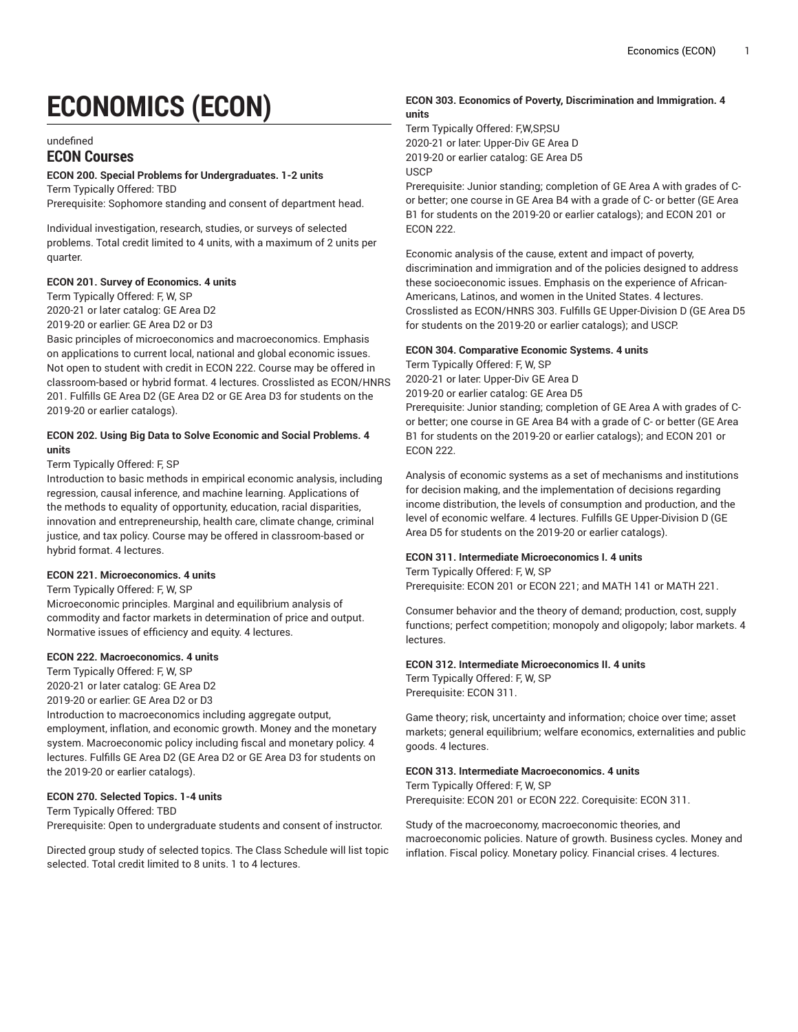# **ECONOMICS (ECON)**

#### undefined

# **ECON Courses**

### **ECON 200. Special Problems for Undergraduates. 1-2 units**

Term Typically Offered: TBD

Prerequisite: Sophomore standing and consent of department head.

Individual investigation, research, studies, or surveys of selected problems. Total credit limited to 4 units, with a maximum of 2 units per quarter.

### **ECON 201. Survey of Economics. 4 units**

Term Typically Offered: F, W, SP 2020-21 or later catalog: GE Area D2

2019-20 or earlier: GE Area D2 or D3

Basic principles of microeconomics and macroeconomics. Emphasis on applications to current local, national and global economic issues. Not open to student with credit in ECON 222. Course may be offered in classroom-based or hybrid format. 4 lectures. Crosslisted as ECON/HNRS 201. Fulfills GE Area D2 (GE Area D2 or GE Area D3 for students on the 2019-20 or earlier catalogs).

### **ECON 202. Using Big Data to Solve Economic and Social Problems. 4 units**

# Term Typically Offered: F, SP

Introduction to basic methods in empirical economic analysis, including regression, causal inference, and machine learning. Applications of the methods to equality of opportunity, education, racial disparities, innovation and entrepreneurship, health care, climate change, criminal justice, and tax policy. Course may be offered in classroom-based or hybrid format. 4 lectures.

### **ECON 221. Microeconomics. 4 units**

### Term Typically Offered: F, W, SP

Microeconomic principles. Marginal and equilibrium analysis of commodity and factor markets in determination of price and output. Normative issues of efficiency and equity. 4 lectures.

### **ECON 222. Macroeconomics. 4 units**

Term Typically Offered: F, W, SP 2020-21 or later catalog: GE Area D2

2019-20 or earlier: GE Area D2 or D3 Introduction to macroeconomics including aggregate output, employment, inflation, and economic growth. Money and the monetary system. Macroeconomic policy including fiscal and monetary policy. 4 lectures. Fulfills GE Area D2 (GE Area D2 or GE Area D3 for students on the 2019-20 or earlier catalogs).

# **ECON 270. Selected Topics. 1-4 units**

Term Typically Offered: TBD

Prerequisite: Open to undergraduate students and consent of instructor.

Directed group study of selected topics. The Class Schedule will list topic selected. Total credit limited to 8 units. 1 to 4 lectures.

# **ECON 303. Economics of Poverty, Discrimination and Immigration. 4 units**

Term Typically Offered: F,W,SP,SU 2020-21 or later: Upper-Div GE Area D 2019-20 or earlier catalog: GE Area D5 USCP

Prerequisite: Junior standing; completion of GE Area A with grades of Cor better; one course in GE Area B4 with a grade of C- or better (GE Area B1 for students on the 2019-20 or earlier catalogs); and ECON 201 or ECON 222.

Economic analysis of the cause, extent and impact of poverty, discrimination and immigration and of the policies designed to address these socioeconomic issues. Emphasis on the experience of African-Americans, Latinos, and women in the United States. 4 lectures. Crosslisted as ECON/HNRS 303. Fulfills GE Upper-Division D (GE Area D5 for students on the 2019-20 or earlier catalogs); and USCP.

### **ECON 304. Comparative Economic Systems. 4 units**

Term Typically Offered: F, W, SP 2020-21 or later: Upper-Div GE Area D 2019-20 or earlier catalog: GE Area D5 Prerequisite: Junior standing; completion of GE Area A with grades of C-

or better; one course in GE Area B4 with a grade of C- or better (GE Area B1 for students on the 2019-20 or earlier catalogs); and ECON 201 or ECON 222.

Analysis of economic systems as a set of mechanisms and institutions for decision making, and the implementation of decisions regarding income distribution, the levels of consumption and production, and the level of economic welfare. 4 lectures. Fulfills GE Upper-Division D (GE Area D5 for students on the 2019-20 or earlier catalogs).

### **ECON 311. Intermediate Microeconomics I. 4 units**

Term Typically Offered: F, W, SP Prerequisite: ECON 201 or ECON 221; and MATH 141 or MATH 221.

Consumer behavior and the theory of demand; production, cost, supply functions; perfect competition; monopoly and oligopoly; labor markets. 4 lectures.

# **ECON 312. Intermediate Microeconomics II. 4 units**

Term Typically Offered: F, W, SP Prerequisite: ECON 311.

Game theory; risk, uncertainty and information; choice over time; asset markets; general equilibrium; welfare economics, externalities and public goods. 4 lectures.

### **ECON 313. Intermediate Macroeconomics. 4 units**

Term Typically Offered: F, W, SP Prerequisite: ECON 201 or ECON 222. Corequisite: ECON 311.

Study of the macroeconomy, macroeconomic theories, and macroeconomic policies. Nature of growth. Business cycles. Money and inflation. Fiscal policy. Monetary policy. Financial crises. 4 lectures.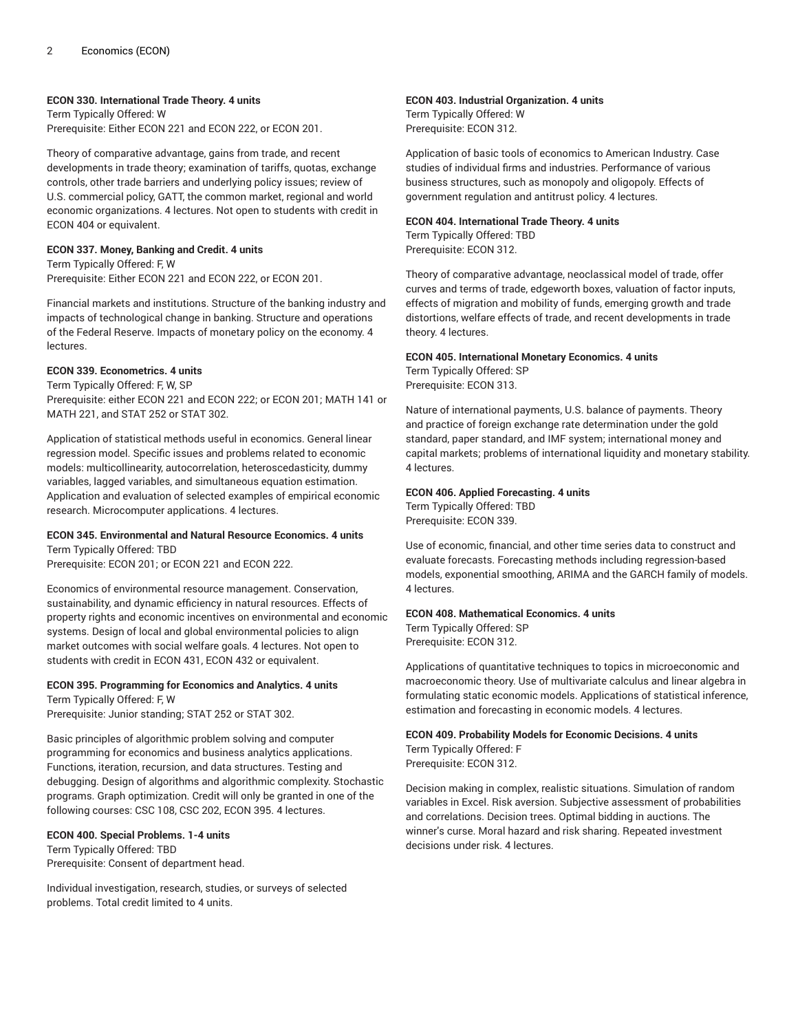# **ECON 330. International Trade Theory. 4 units**

Term Typically Offered: W Prerequisite: Either ECON 221 and ECON 222, or ECON 201.

Theory of comparative advantage, gains from trade, and recent developments in trade theory; examination of tariffs, quotas, exchange controls, other trade barriers and underlying policy issues; review of U.S. commercial policy, GATT, the common market, regional and world economic organizations. 4 lectures. Not open to students with credit in ECON 404 or equivalent.

### **ECON 337. Money, Banking and Credit. 4 units**

Term Typically Offered: F, W Prerequisite: Either ECON 221 and ECON 222, or ECON 201.

Financial markets and institutions. Structure of the banking industry and impacts of technological change in banking. Structure and operations of the Federal Reserve. Impacts of monetary policy on the economy. 4 lectures.

# **ECON 339. Econometrics. 4 units**

Term Typically Offered: F, W, SP Prerequisite: either ECON 221 and ECON 222; or ECON 201; MATH 141 or MATH 221, and STAT 252 or STAT 302.

Application of statistical methods useful in economics. General linear regression model. Specific issues and problems related to economic models: multicollinearity, autocorrelation, heteroscedasticity, dummy variables, lagged variables, and simultaneous equation estimation. Application and evaluation of selected examples of empirical economic research. Microcomputer applications. 4 lectures.

### **ECON 345. Environmental and Natural Resource Economics. 4 units** Term Typically Offered: TBD

Prerequisite: ECON 201; or ECON 221 and ECON 222.

Economics of environmental resource management. Conservation, sustainability, and dynamic efficiency in natural resources. Effects of property rights and economic incentives on environmental and economic systems. Design of local and global environmental policies to align market outcomes with social welfare goals. 4 lectures. Not open to students with credit in ECON 431, ECON 432 or equivalent.

### **ECON 395. Programming for Economics and Analytics. 4 units** Term Typically Offered: F, W

Prerequisite: Junior standing; STAT 252 or STAT 302.

Basic principles of algorithmic problem solving and computer programming for economics and business analytics applications. Functions, iteration, recursion, and data structures. Testing and debugging. Design of algorithms and algorithmic complexity. Stochastic programs. Graph optimization. Credit will only be granted in one of the following courses: CSC 108, CSC 202, ECON 395. 4 lectures.

### **ECON 400. Special Problems. 1-4 units**

Term Typically Offered: TBD Prerequisite: Consent of department head.

Individual investigation, research, studies, or surveys of selected problems. Total credit limited to 4 units.

# **ECON 403. Industrial Organization. 4 units**

Term Typically Offered: W Prerequisite: ECON 312.

Application of basic tools of economics to American Industry. Case studies of individual firms and industries. Performance of various business structures, such as monopoly and oligopoly. Effects of government regulation and antitrust policy. 4 lectures.

# **ECON 404. International Trade Theory. 4 units**

Term Typically Offered: TBD Prerequisite: ECON 312.

Theory of comparative advantage, neoclassical model of trade, offer curves and terms of trade, edgeworth boxes, valuation of factor inputs, effects of migration and mobility of funds, emerging growth and trade distortions, welfare effects of trade, and recent developments in trade theory. 4 lectures.

### **ECON 405. International Monetary Economics. 4 units** Term Typically Offered: SP

Prerequisite: ECON 313.

Nature of international payments, U.S. balance of payments. Theory and practice of foreign exchange rate determination under the gold standard, paper standard, and IMF system; international money and capital markets; problems of international liquidity and monetary stability. 4 lectures.

# **ECON 406. Applied Forecasting. 4 units**

Term Typically Offered: TBD Prerequisite: ECON 339.

Use of economic, financial, and other time series data to construct and evaluate forecasts. Forecasting methods including regression-based models, exponential smoothing, ARIMA and the GARCH family of models. 4 lectures.

### **ECON 408. Mathematical Economics. 4 units** Term Typically Offered: SP Prerequisite: ECON 312.

Applications of quantitative techniques to topics in microeconomic and macroeconomic theory. Use of multivariate calculus and linear algebra in formulating static economic models. Applications of statistical inference, estimation and forecasting in economic models. 4 lectures.

**ECON 409. Probability Models for Economic Decisions. 4 units** Term Typically Offered: F Prerequisite: ECON 312.

Decision making in complex, realistic situations. Simulation of random variables in Excel. Risk aversion. Subjective assessment of probabilities and correlations. Decision trees. Optimal bidding in auctions. The winner's curse. Moral hazard and risk sharing. Repeated investment decisions under risk. 4 lectures.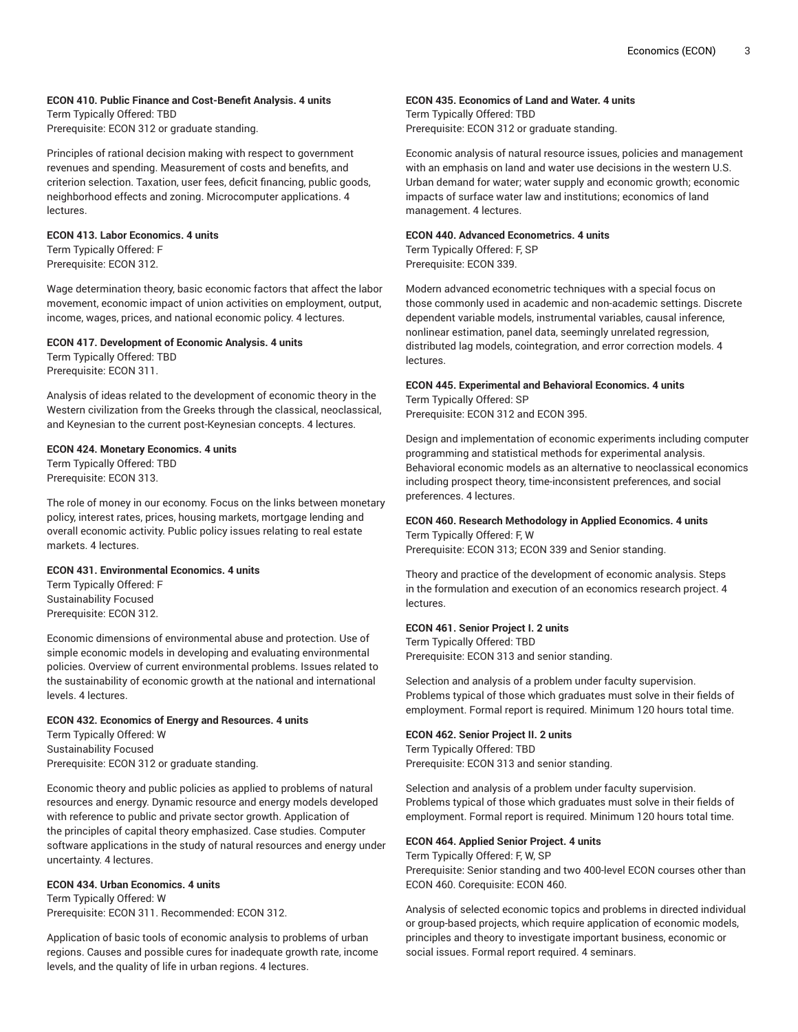# **ECON 410. Public Finance and Cost-Benefit Analysis. 4 units**

Term Typically Offered: TBD Prerequisite: ECON 312 or graduate standing.

Principles of rational decision making with respect to government revenues and spending. Measurement of costs and benefits, and criterion selection. Taxation, user fees, deficit financing, public goods, neighborhood effects and zoning. Microcomputer applications. 4 lectures.

### **ECON 413. Labor Economics. 4 units**

Term Typically Offered: F Prerequisite: ECON 312.

Wage determination theory, basic economic factors that affect the labor movement, economic impact of union activities on employment, output, income, wages, prices, and national economic policy. 4 lectures.

# **ECON 417. Development of Economic Analysis. 4 units**

Term Typically Offered: TBD Prerequisite: ECON 311.

Analysis of ideas related to the development of economic theory in the Western civilization from the Greeks through the classical, neoclassical, and Keynesian to the current post-Keynesian concepts. 4 lectures.

# **ECON 424. Monetary Economics. 4 units**

Term Typically Offered: TBD Prerequisite: ECON 313.

The role of money in our economy. Focus on the links between monetary policy, interest rates, prices, housing markets, mortgage lending and overall economic activity. Public policy issues relating to real estate markets. 4 lectures.

### **ECON 431. Environmental Economics. 4 units**

Term Typically Offered: F Sustainability Focused Prerequisite: ECON 312.

Economic dimensions of environmental abuse and protection. Use of simple economic models in developing and evaluating environmental policies. Overview of current environmental problems. Issues related to the sustainability of economic growth at the national and international levels. 4 lectures.

### **ECON 432. Economics of Energy and Resources. 4 units**

Term Typically Offered: W Sustainability Focused Prerequisite: ECON 312 or graduate standing.

Economic theory and public policies as applied to problems of natural resources and energy. Dynamic resource and energy models developed with reference to public and private sector growth. Application of the principles of capital theory emphasized. Case studies. Computer software applications in the study of natural resources and energy under uncertainty. 4 lectures.

### **ECON 434. Urban Economics. 4 units**

Term Typically Offered: W Prerequisite: ECON 311. Recommended: ECON 312.

Application of basic tools of economic analysis to problems of urban regions. Causes and possible cures for inadequate growth rate, income levels, and the quality of life in urban regions. 4 lectures.

# **ECON 435. Economics of Land and Water. 4 units**

Term Typically Offered: TBD Prerequisite: ECON 312 or graduate standing.

Economic analysis of natural resource issues, policies and management with an emphasis on land and water use decisions in the western U.S. Urban demand for water; water supply and economic growth; economic impacts of surface water law and institutions; economics of land management. 4 lectures.

# **ECON 440. Advanced Econometrics. 4 units**

Term Typically Offered: F, SP Prerequisite: ECON 339.

Modern advanced econometric techniques with a special focus on those commonly used in academic and non-academic settings. Discrete dependent variable models, instrumental variables, causal inference, nonlinear estimation, panel data, seemingly unrelated regression, distributed lag models, cointegration, and error correction models. 4 lectures.

# **ECON 445. Experimental and Behavioral Economics. 4 units**

Term Typically Offered: SP Prerequisite: ECON 312 and ECON 395.

Design and implementation of economic experiments including computer programming and statistical methods for experimental analysis. Behavioral economic models as an alternative to neoclassical economics including prospect theory, time-inconsistent preferences, and social preferences. 4 lectures.

### **ECON 460. Research Methodology in Applied Economics. 4 units** Term Typically Offered: F, W

Prerequisite: ECON 313; ECON 339 and Senior standing.

Theory and practice of the development of economic analysis. Steps in the formulation and execution of an economics research project. 4 lectures.

### **ECON 461. Senior Project I. 2 units**

Term Typically Offered: TBD Prerequisite: ECON 313 and senior standing.

Selection and analysis of a problem under faculty supervision. Problems typical of those which graduates must solve in their fields of employment. Formal report is required. Minimum 120 hours total time.

# **ECON 462. Senior Project II. 2 units**

Term Typically Offered: TBD Prerequisite: ECON 313 and senior standing.

Selection and analysis of a problem under faculty supervision. Problems typical of those which graduates must solve in their fields of employment. Formal report is required. Minimum 120 hours total time.

### **ECON 464. Applied Senior Project. 4 units**

Term Typically Offered: F, W, SP

Prerequisite: Senior standing and two 400-level ECON courses other than ECON 460. Corequisite: ECON 460.

Analysis of selected economic topics and problems in directed individual or group-based projects, which require application of economic models, principles and theory to investigate important business, economic or social issues. Formal report required. 4 seminars.